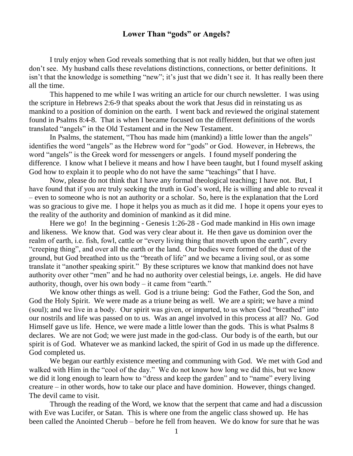## **Lower Than "gods" or Angels?**

I truly enjoy when God reveals something that is not really hidden, but that we often just don't see. My husband calls these revelations distinctions, connections, or better definitions. It isn't that the knowledge is something "new"; it's just that we didn't see it. It has really been there all the time.

This happened to me while I was writing an article for our church newsletter. I was using the scripture in Hebrews 2:6-9 that speaks about the work that Jesus did in reinstating us as mankind to a position of dominion on the earth. I went back and reviewed the original statement found in Psalms 8:4-8. That is when I became focused on the different definitions of the words translated "angels" in the Old Testament and in the New Testament.

In Psalms, the statement, "Thou has made him (mankind) a little lower than the angels" identifies the word "angels" as the Hebrew word for "gods" or God. However, in Hebrews, the word "angels" is the Greek word for messengers or angels. I found myself pondering the difference. I know what I believe it means and how I have been taught, but I found myself asking God how to explain it to people who do not have the same "teachings" that I have.

Now, please do not think that I have any formal theological teaching; I have not. But, I have found that if you are truly seeking the truth in God's word, He is willing and able to reveal it – even to someone who is not an authority or a scholar. So, here is the explanation that the Lord was so gracious to give me. I hope it helps you as much as it did me. I hope it opens your eyes to the reality of the authority and dominion of mankind as it did mine.

Here we go! In the beginning - Genesis 1:26-28 - God made mankind in His own image and likeness. We know that. God was very clear about it. He then gave us dominion over the realm of earth, i.e. fish, fowl, cattle or "every living thing that moveth upon the earth", every "creeping thing", and over all the earth or the land. Our bodies were formed of the dust of the ground, but God breathed into us the "breath of life" and we became a living soul, or as some translate it "another speaking spirit." By these scriptures we know that mankind does not have authority over other "men" and he had no authority over celestial beings, i.e. angels. He did have authority, though, over his own body  $-$  it came from "earth."

We know other things as well. God is a triune being: God the Father, God the Son, and God the Holy Spirit. We were made as a triune being as well. We are a spirit; we have a mind (soul); and we live in a body. Our spirit was given, or imparted, to us when God "breathed" into our nostrils and life was passed on to us. Was an angel involved in this process at all? No. God Himself gave us life. Hence, we were made a little lower than the gods. This is what Psalms 8 declares. We are not God; we were just made in the god-class. Our body is of the earth, but our spirit is of God. Whatever we as mankind lacked, the spirit of God in us made up the difference. God completed us.

We began our earthly existence meeting and communing with God. We met with God and walked with Him in the "cool of the day." We do not know how long we did this, but we know we did it long enough to learn how to "dress and keep the garden" and to "name" every living creature – in other words, how to take our place and have dominion. However, things changed. The devil came to visit.

Through the reading of the Word, we know that the serpent that came and had a discussion with Eve was Lucifer, or Satan. This is where one from the angelic class showed up. He has been called the Anointed Cherub – before he fell from heaven. We do know for sure that he was

1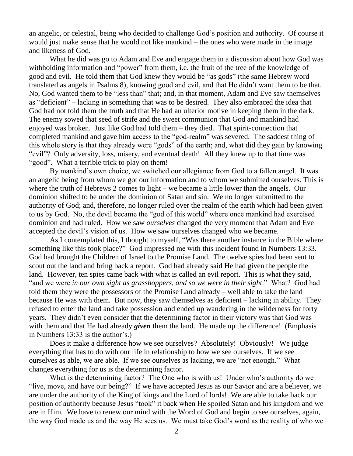an angelic, or celestial, being who decided to challenge God's position and authority. Of course it would just make sense that he would not like mankind – the ones who were made in the image and likeness of God.

What he did was go to Adam and Eve and engage them in a discussion about how God was withholding information and "power" from them, i.e. the fruit of the tree of the knowledge of good and evil. He told them that God knew they would be "as gods" (the same Hebrew word translated as angels in Psalms 8), knowing good and evil, and that He didn't want them to be that. No, God wanted them to be "less than" that; and, in that moment, Adam and Eve saw themselves as "deficient" – lacking in something that was to be desired. They also embraced the idea that God had not told them the truth and that He had an ulterior motive in keeping them in the dark. The enemy sowed that seed of strife and the sweet communion that God and mankind had enjoyed was broken. Just like God had told them – they died. That spirit-connection that completed mankind and gave him access to the "god-realm" was severed. The saddest thing of this whole story is that they already were "gods" of the earth; and, what did they gain by knowing "evil"? Only adversity, loss, misery, and eventual death! All they knew up to that time was "good". What a terrible trick to play on them!

By mankind's own choice, we switched our allegiance from God to a fallen angel. It was an angelic being from whom we got our information and to whom we submitted ourselves. This is where the truth of Hebrews 2 comes to light – we became a little lower than the angels. Our dominion shifted to be under the dominion of Satan and sin. We no longer submitted to the authority of God; and, therefore, no longer ruled over the realm of the earth which had been given to us by God. No, the devil became the "god of this world" where once mankind had exercised dominion and had ruled. How we saw *ourselves* changed the very moment that Adam and Eve accepted the devil's vision of us. How we saw ourselves changed who we became.

As I contemplated this, I thought to myself, "Was there another instance in the Bible where something like this took place?" God impressed me with this incident found in Numbers 13:33. God had brought the Children of Israel to the Promise Land. The twelve spies had been sent to scout out the land and bring back a report. God had already said He had given the people the land. However, ten spies came back with what is called an evil report. This is what they said, "and we were *in our own sight as grasshoppers, and so we were in their sight*." What? God had told them they were the possessors of the Promise Land already – well able to take the land because He was with them. But now, they saw themselves as deficient – lacking in ability. They refused to enter the land and take possession and ended up wandering in the wilderness for forty years. They didn't even consider that the determining factor in their victory was that God was with them and that He had already *given* them the land. He made up the difference! (Emphasis in Numbers 13:33 is the author's.)

Does it make a difference how we see ourselves? Absolutely! Obviously! We judge everything that has to do with our life in relationship to how we see ourselves. If we see ourselves as able, we are able. If we see ourselves as lacking, we are "not enough." What changes everything for us is the determining factor.

What is the determining factor? The One who is with us! Under who's authority do we "live, move, and have our being?" If we have accepted Jesus as our Savior and are a believer, we are under the authority of the King of kings and the Lord of lords! We are able to take back our position of authority because Jesus "took" it back when He spoiled Satan and his kingdom and we are in Him. We have to renew our mind with the Word of God and begin to see ourselves, again, the way God made us and the way He sees us. We must take God's word as the reality of who we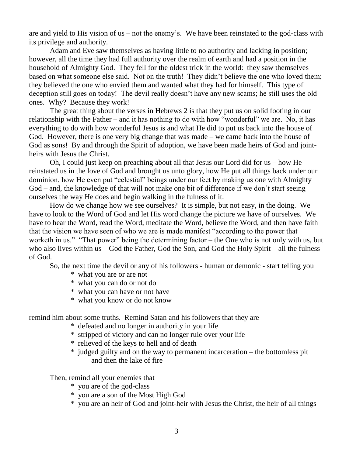are and yield to His vision of us – not the enemy's. We have been reinstated to the god-class with its privilege and authority.

Adam and Eve saw themselves as having little to no authority and lacking in position; however, all the time they had full authority over the realm of earth and had a position in the household of Almighty God. They fell for the oldest trick in the world: they saw themselves based on what someone else said. Not on the truth! They didn't believe the one who loved them; they believed the one who envied them and wanted what they had for himself. This type of deception still goes on today! The devil really doesn't have any new scams; he still uses the old ones. Why? Because they work!

The great thing about the verses in Hebrews 2 is that they put us on solid footing in our relationship with the Father – and it has nothing to do with how "wonderful" we are. No, it has everything to do with how wonderful Jesus is and what He did to put us back into the house of God. However, there is one very big change that was made – we came back into the house of God as sons! By and through the Spirit of adoption, we have been made heirs of God and jointheirs with Jesus the Christ.

Oh, I could just keep on preaching about all that Jesus our Lord did for us – how He reinstated us in the love of God and brought us unto glory, how He put all things back under our dominion, how He even put "celestial" beings under our feet by making us one with Almighty God – and, the knowledge of that will not make one bit of difference if we don't start seeing ourselves the way He does and begin walking in the fulness of it.

How do we change how we see ourselves? It is simple, but not easy, in the doing. We have to look to the Word of God and let His word change the picture we have of ourselves. We have to hear the Word, read the Word, meditate the Word, believe the Word, and then have faith that the vision we have seen of who we are is made manifest "according to the power that worketh in us." "That power" being the determining factor – the One who is not only with us, but who also lives within us – God the Father, God the Son, and God the Holy Spirit – all the fulness of God.

So, the next time the devil or any of his followers - human or demonic - start telling you

- \* what you are or are not
- \* what you can do or not do
- \* what you can have or not have
- \* what you know or do not know

remind him about some truths. Remind Satan and his followers that they are

- \* defeated and no longer in authority in your life
- \* stripped of victory and can no longer rule over your life
- \* relieved of the keys to hell and of death
- \* judged guilty and on the way to permanent incarceration the bottomless pit and then the lake of fire

Then, remind all your enemies that

- \* you are of the god-class
- \* you are a son of the Most High God
- \* you are an heir of God and joint-heir with Jesus the Christ, the heir of all things